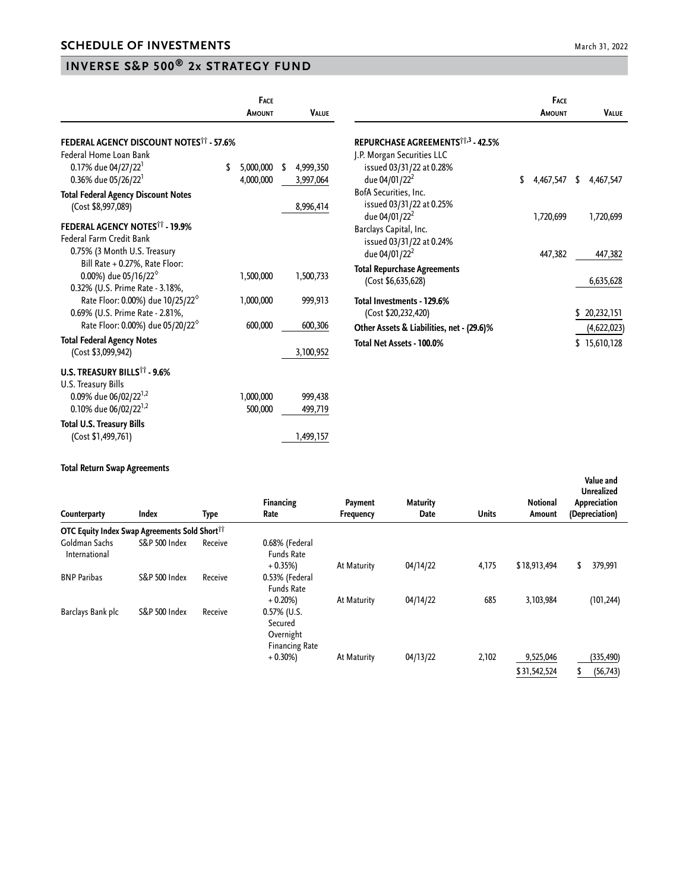## **INVERSE S&P 500® 2x STRATEGY FUND**

|                                                                                     | FACE<br><b>AMOUNT</b> |     | <b>VALUE</b> |                                               | FACE<br>AMOUNT  |    | <b>VALUE</b> |
|-------------------------------------------------------------------------------------|-----------------------|-----|--------------|-----------------------------------------------|-----------------|----|--------------|
| <b>FEDERAL AGENCY DISCOUNT NOTES<sup>11</sup> - 57.6%</b>                           |                       |     |              | REPURCHASE AGREEMENTS <sup>11,3</sup> - 42.5% |                 |    |              |
| Federal Home Loan Bank                                                              |                       |     |              | J.P. Morgan Securities LLC                    |                 |    |              |
| 0.17% due 04/27/22                                                                  | 5,000,000             | -\$ | 4,999,350    | issued 03/31/22 at 0.28%                      |                 |    |              |
| 0.36% due 05/26/22 <sup>1</sup>                                                     | 4,000,000             |     | 3,997,064    | due 04/01/22 <sup>2</sup>                     | \$<br>4,467,547 | S. | 4,467,547    |
| <b>Total Federal Agency Discount Notes</b>                                          |                       |     |              | BofA Securities, Inc.                         |                 |    |              |
| (Cost \$8,997,089)                                                                  |                       |     | 8,996,414    | issued 03/31/22 at 0.25%                      |                 |    |              |
|                                                                                     |                       |     |              | due 04/01/22 <sup>2</sup>                     | 1,720,699       |    | 1,720,699    |
| <b>FEDERAL AGENCY NOTES<sup>11</sup> - 19.9%</b><br><b>Federal Farm Credit Bank</b> |                       |     |              | Barclays Capital, Inc.                        |                 |    |              |
| 0.75% (3 Month U.S. Treasury                                                        |                       |     |              | issued 03/31/22 at 0.24%                      |                 |    |              |
| Bill Rate + 0.27%, Rate Floor:                                                      |                       |     |              | due 04/01/22 <sup>2</sup>                     | 447,382         |    | 447,382      |
| 0.00%) due 05/16/22 $^{\circ}$                                                      | 1,500,000             |     | 1,500,733    | <b>Total Repurchase Agreements</b>            |                 |    |              |
| 0.32% (U.S. Prime Rate - 3.18%,                                                     |                       |     |              | (Cost \$6,635,628)                            |                 |    | 6,635,628    |
| Rate Floor: 0.00%) due 10/25/22 <sup>6</sup>                                        | 1,000,000             |     | 999,913      | Total Investments - 129.6%                    |                 |    |              |
| 0.69% (U.S. Prime Rate - 2.81%,                                                     |                       |     |              | (Cost \$20,232,420)                           |                 |    | \$20,232,151 |
| Rate Floor: 0.00%) due 05/20/22 <sup>6</sup>                                        | 600,000               |     | 600,306      |                                               |                 |    |              |
| <b>Total Federal Agency Notes</b>                                                   |                       |     |              | Other Assets & Liabilities, net - (29.6)%     |                 |    | (4,622,023)  |
| (Cost \$3,099,942)                                                                  |                       |     | 3,100,952    | Total Net Assets - 100.0%                     |                 |    | \$15,610,128 |
|                                                                                     |                       |     |              |                                               |                 |    |              |
| U.S. TREASURY BILLS <sup>11</sup> - 9.6%                                            |                       |     |              |                                               |                 |    |              |
| U.S. Treasury Bills                                                                 |                       |     |              |                                               |                 |    |              |
| 0.09% due 06/02/22 <sup>1,2</sup>                                                   | 1,000,000             |     | 999,438      |                                               |                 |    |              |
| 0.10% due 06/02/22 <sup>1,2</sup>                                                   | 500,000               |     | 499,719      |                                               |                 |    |              |
| <b>Total U.S. Treasury Bills</b>                                                    |                       |     |              |                                               |                 |    |              |
| (Cost \$1,499,761)                                                                  |                       |     | 1,499,157    |                                               |                 |    |              |

## **Total Return Swap Agreements**

| Counterparty                                              | <b>Index</b>             | Type    | <b>Financing</b><br>Rate                                        | Payment<br>Frequency | <b>Maturity</b><br>Date | <b>Units</b> | Notional<br>Amount | Value and<br><b>Unrealized</b><br>Appreciation<br>(Depreciation) |  |  |
|-----------------------------------------------------------|--------------------------|---------|-----------------------------------------------------------------|----------------------|-------------------------|--------------|--------------------|------------------------------------------------------------------|--|--|
| OTC Equity Index Swap Agreements Sold Short <sup>11</sup> |                          |         |                                                                 |                      |                         |              |                    |                                                                  |  |  |
| Goldman Sachs<br>International                            | <b>S&amp;P 500 Index</b> | Receive | 0.68% (Federal<br><b>Funds Rate</b>                             |                      |                         |              |                    |                                                                  |  |  |
|                                                           |                          |         | $+0.35%$                                                        | At Maturity          | 04/14/22                | 4,175        | \$18,913,494       | 379,991<br>\$                                                    |  |  |
| <b>BNP Paribas</b>                                        | <b>S&amp;P 500 Index</b> | Receive | 0.53% (Federal<br><b>Funds Rate</b>                             |                      |                         |              |                    |                                                                  |  |  |
|                                                           |                          |         | $+0.20%$                                                        | At Maturity          | 04/14/22                | 685          | 3,103,984          | (101, 244)                                                       |  |  |
| Barclays Bank plc                                         | <b>S&amp;P 500 Index</b> | Receive | $0.57\%$ (U.S.<br>Secured<br>Overnight<br><b>Financing Rate</b> |                      |                         |              |                    |                                                                  |  |  |
|                                                           |                          |         | $+0.30\%)$                                                      | At Maturity          | 04/13/22                | 2,102        | 9,525,046          | (335, 490)                                                       |  |  |
|                                                           |                          |         |                                                                 |                      |                         |              | \$31,542,524       | (56, 743)                                                        |  |  |